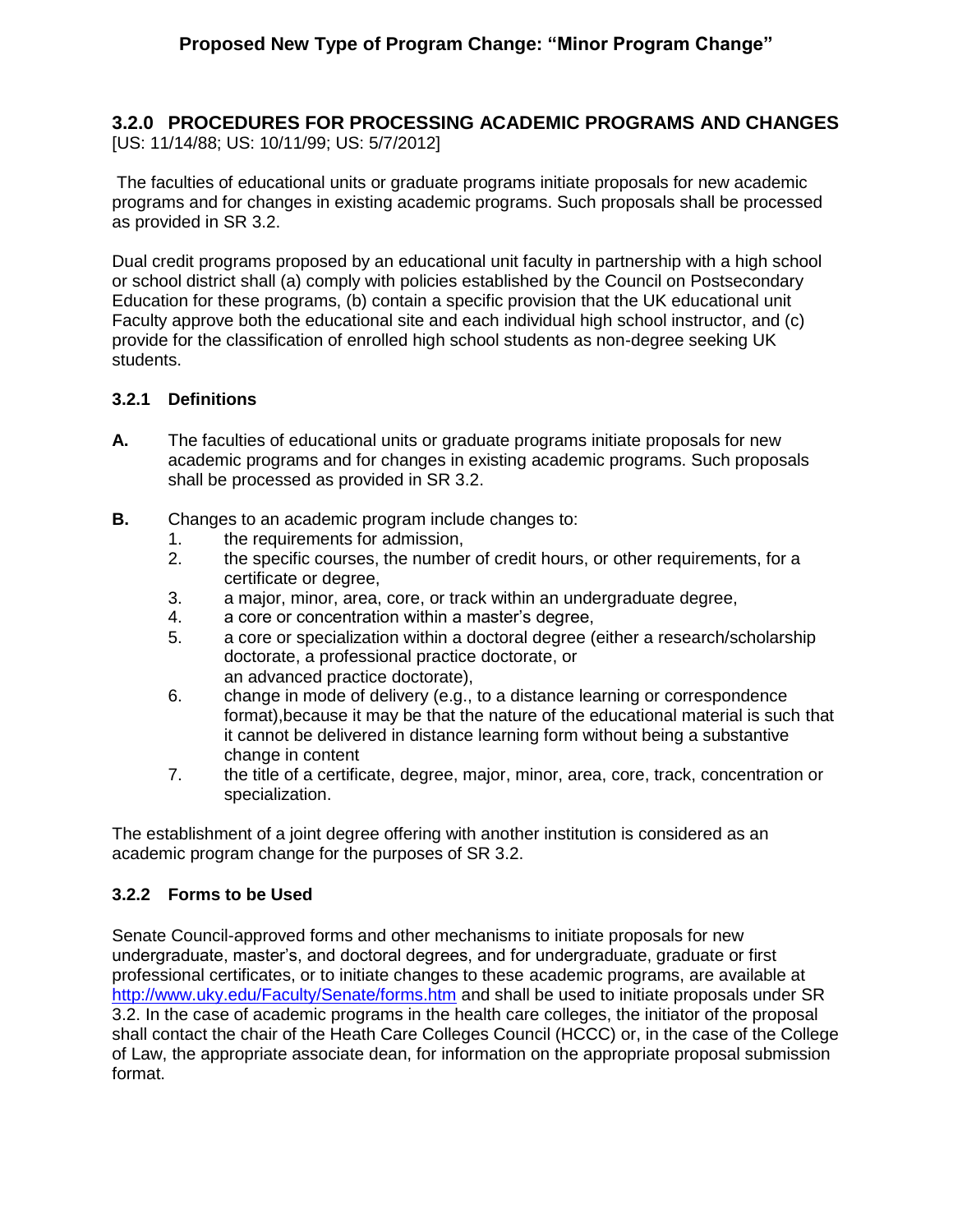# **3.2.0 PROCEDURES FOR PROCESSING ACADEMIC PROGRAMS AND CHANGES**

[US: 11/14/88; US: 10/11/99; US: 5/7/2012]

The faculties of educational units or graduate programs initiate proposals for new academic programs and for changes in existing academic programs. Such proposals shall be processed as provided in SR 3.2.

Dual credit programs proposed by an educational unit faculty in partnership with a high school or school district shall (a) comply with policies established by the Council on Postsecondary Education for these programs, (b) contain a specific provision that the UK educational unit Faculty approve both the educational site and each individual high school instructor, and (c) provide for the classification of enrolled high school students as non-degree seeking UK students.

#### **3.2.1 Definitions**

- **A.** The faculties of educational units or graduate programs initiate proposals for new academic programs and for changes in existing academic programs. Such proposals shall be processed as provided in SR 3.2.
- **B.** Changes to an academic program include changes to:
	- 1. the requirements for admission,
	- 2. the specific courses, the number of credit hours, or other requirements, for a certificate or degree,
	- 3. a major, minor, area, core, or track within an undergraduate degree,
	- 4. a core or concentration within a master's degree,
	- 5. a core or specialization within a doctoral degree (either a research/scholarship doctorate, a professional practice doctorate, or an advanced practice doctorate),
	- 6. change in mode of delivery (e.g., to a distance learning or correspondence format),because it may be that the nature of the educational material is such that it cannot be delivered in distance learning form without being a substantive change in content
	- 7. the title of a certificate, degree, major, minor, area, core, track, concentration or specialization.

The establishment of a joint degree offering with another institution is considered as an academic program change for the purposes of SR 3.2.

## **3.2.2 Forms to be Used**

Senate Council-approved forms and other mechanisms to initiate proposals for new undergraduate, master's, and doctoral degrees, and for undergraduate, graduate or first professional certificates, or to initiate changes to these academic programs, are available at <http://www.uky.edu/Faculty/Senate/forms.htm> and shall be used to initiate proposals under SR 3.2. In the case of academic programs in the health care colleges, the initiator of the proposal shall contact the chair of the Heath Care Colleges Council (HCCC) or, in the case of the College of Law, the appropriate associate dean, for information on the appropriate proposal submission format.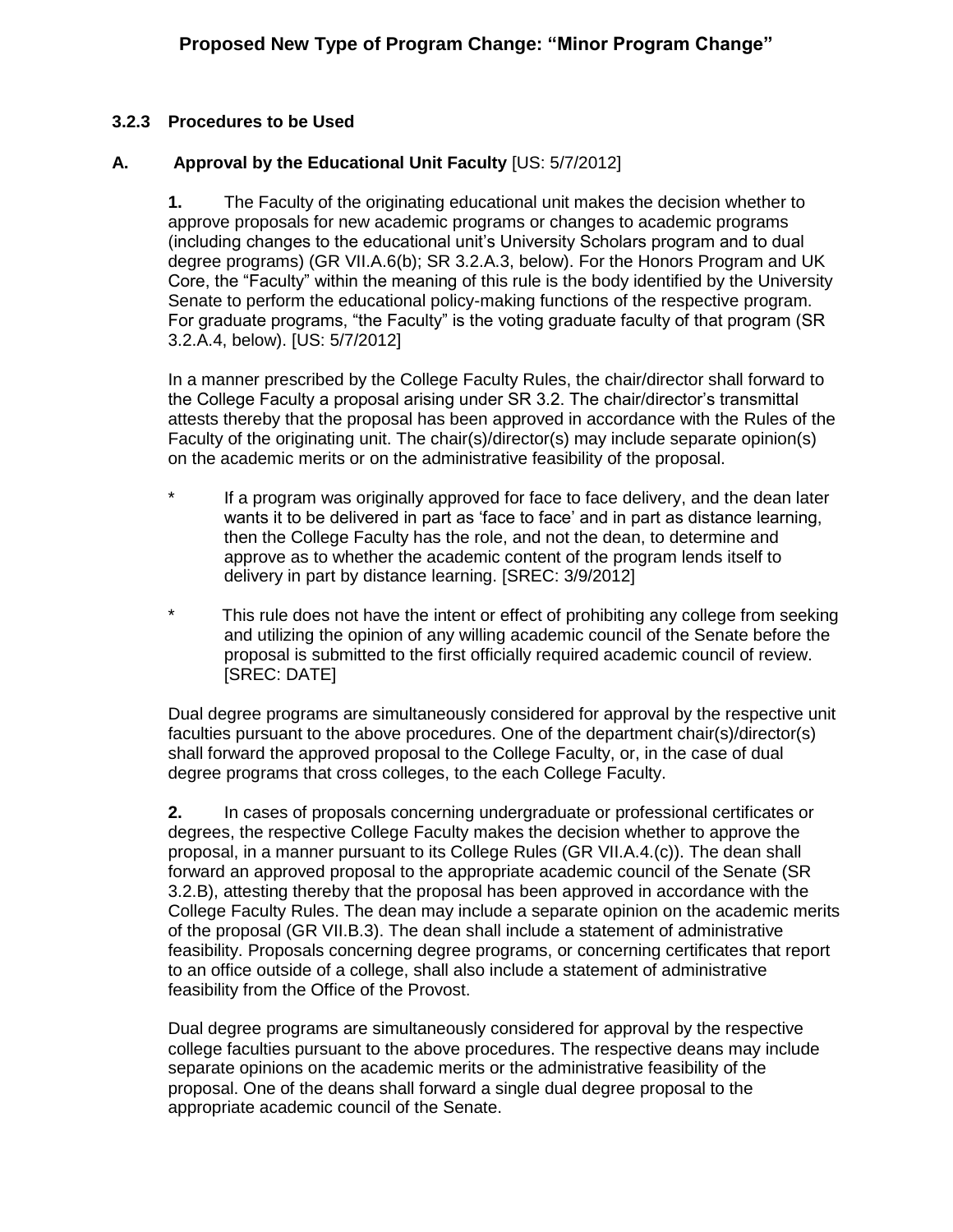#### **3.2.3 Procedures to be Used**

#### **A. Approval by the Educational Unit Faculty** [US: 5/7/2012]

**1.** The Faculty of the originating educational unit makes the decision whether to approve proposals for new academic programs or changes to academic programs (including changes to the educational unit's University Scholars program and to dual degree programs) (GR VII.A.6(b); SR 3.2.A.3, below). For the Honors Program and UK Core, the "Faculty" within the meaning of this rule is the body identified by the University Senate to perform the educational policy-making functions of the respective program. For graduate programs, "the Faculty" is the voting graduate faculty of that program (SR 3.2.A.4, below). [US: 5/7/2012]

In a manner prescribed by the College Faculty Rules, the chair/director shall forward to the College Faculty a proposal arising under SR 3.2. The chair/director's transmittal attests thereby that the proposal has been approved in accordance with the Rules of the Faculty of the originating unit. The chair(s)/director(s) may include separate opinion(s) on the academic merits or on the administrative feasibility of the proposal.

- \* If a program was originally approved for face to face delivery, and the dean later wants it to be delivered in part as 'face to face' and in part as distance learning, then the College Faculty has the role, and not the dean, to determine and approve as to whether the academic content of the program lends itself to delivery in part by distance learning. [SREC: 3/9/2012]
- \* This rule does not have the intent or effect of prohibiting any college from seeking and utilizing the opinion of any willing academic council of the Senate before the proposal is submitted to the first officially required academic council of review. [SREC: DATE]

Dual degree programs are simultaneously considered for approval by the respective unit faculties pursuant to the above procedures. One of the department chair(s)/director(s) shall forward the approved proposal to the College Faculty, or, in the case of dual degree programs that cross colleges, to the each College Faculty.

**2.** In cases of proposals concerning undergraduate or professional certificates or degrees, the respective College Faculty makes the decision whether to approve the proposal, in a manner pursuant to its College Rules (GR VII.A.4.(c)). The dean shall forward an approved proposal to the appropriate academic council of the Senate (SR 3.2.B), attesting thereby that the proposal has been approved in accordance with the College Faculty Rules. The dean may include a separate opinion on the academic merits of the proposal (GR VII.B.3). The dean shall include a statement of administrative feasibility. Proposals concerning degree programs, or concerning certificates that report to an office outside of a college, shall also include a statement of administrative feasibility from the Office of the Provost.

Dual degree programs are simultaneously considered for approval by the respective college faculties pursuant to the above procedures. The respective deans may include separate opinions on the academic merits or the administrative feasibility of the proposal. One of the deans shall forward a single dual degree proposal to the appropriate academic council of the Senate.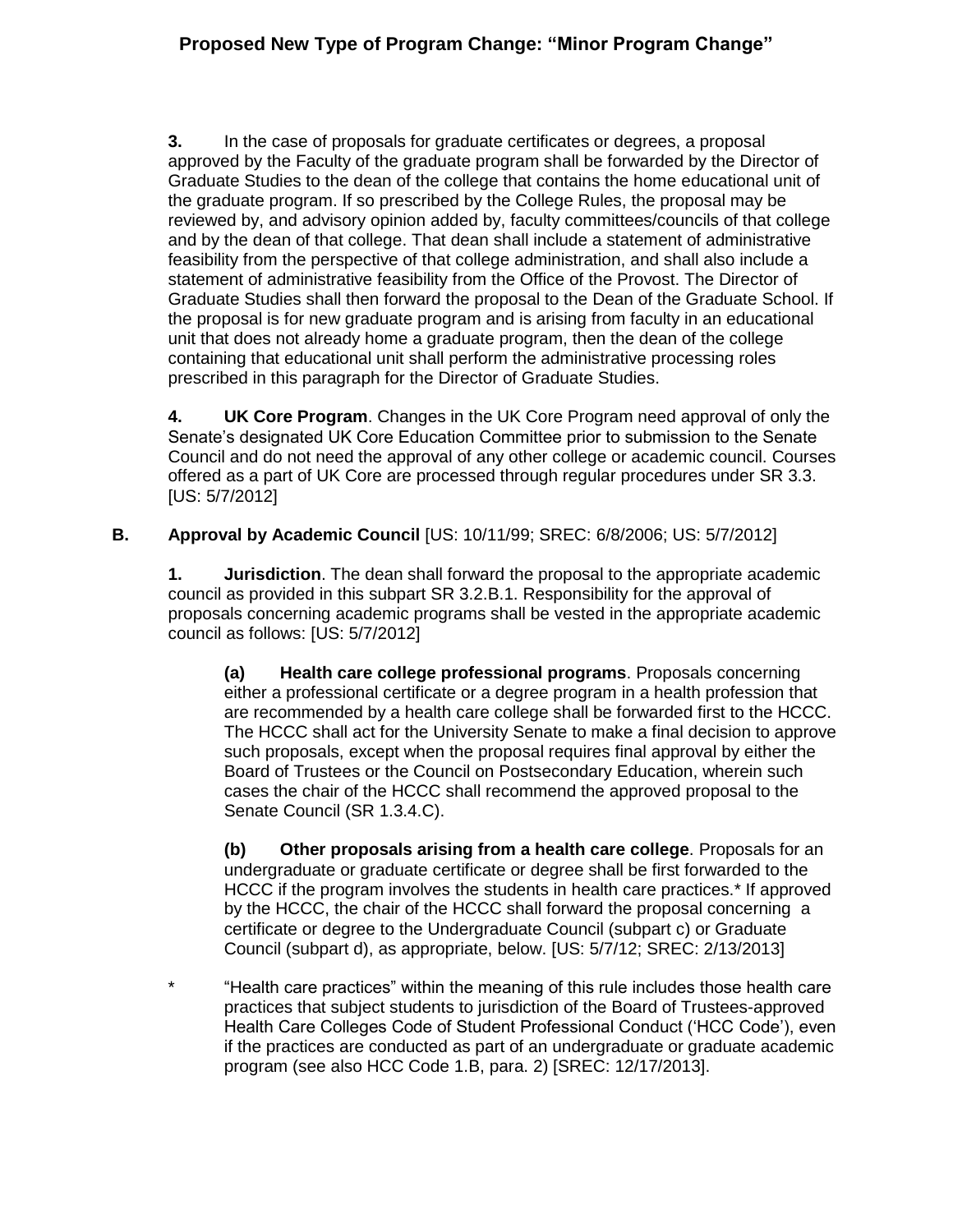# **Proposed New Type of Program Change: "Minor Program Change"**

**3.** In the case of proposals for graduate certificates or degrees, a proposal approved by the Faculty of the graduate program shall be forwarded by the Director of Graduate Studies to the dean of the college that contains the home educational unit of the graduate program. If so prescribed by the College Rules, the proposal may be reviewed by, and advisory opinion added by, faculty committees/councils of that college and by the dean of that college. That dean shall include a statement of administrative feasibility from the perspective of that college administration, and shall also include a statement of administrative feasibility from the Office of the Provost. The Director of Graduate Studies shall then forward the proposal to the Dean of the Graduate School. If the proposal is for new graduate program and is arising from faculty in an educational unit that does not already home a graduate program, then the dean of the college containing that educational unit shall perform the administrative processing roles prescribed in this paragraph for the Director of Graduate Studies.

**4. UK Core Program**. Changes in the UK Core Program need approval of only the Senate's designated UK Core Education Committee prior to submission to the Senate Council and do not need the approval of any other college or academic council. Courses offered as a part of UK Core are processed through regular procedures under SR 3.3. [US: 5/7/2012]

## **B. Approval by Academic Council** [US: 10/11/99; SREC: 6/8/2006; US: 5/7/2012]

**1. Jurisdiction**. The dean shall forward the proposal to the appropriate academic council as provided in this subpart SR 3.2.B.1. Responsibility for the approval of proposals concerning academic programs shall be vested in the appropriate academic council as follows: [US: 5/7/2012]

**(a) Health care college professional programs**. Proposals concerning either a professional certificate or a degree program in a health profession that are recommended by a health care college shall be forwarded first to the HCCC. The HCCC shall act for the University Senate to make a final decision to approve such proposals, except when the proposal requires final approval by either the Board of Trustees or the Council on Postsecondary Education, wherein such cases the chair of the HCCC shall recommend the approved proposal to the Senate Council (SR 1.3.4.C).

**(b) Other proposals arising from a health care college**. Proposals for an undergraduate or graduate certificate or degree shall be first forwarded to the HCCC if the program involves the students in health care practices.\* If approved by the HCCC, the chair of the HCCC shall forward the proposal concerning a certificate or degree to the Undergraduate Council (subpart c) or Graduate Council (subpart d), as appropriate, below. [US: 5/7/12; SREC: 2/13/2013]

\* "Health care practices" within the meaning of this rule includes those health care practices that subject students to jurisdiction of the Board of Trustees-approved Health Care Colleges Code of Student Professional Conduct ('HCC Code'), even if the practices are conducted as part of an undergraduate or graduate academic program (see also HCC Code 1.B, para. 2) [SREC: 12/17/2013].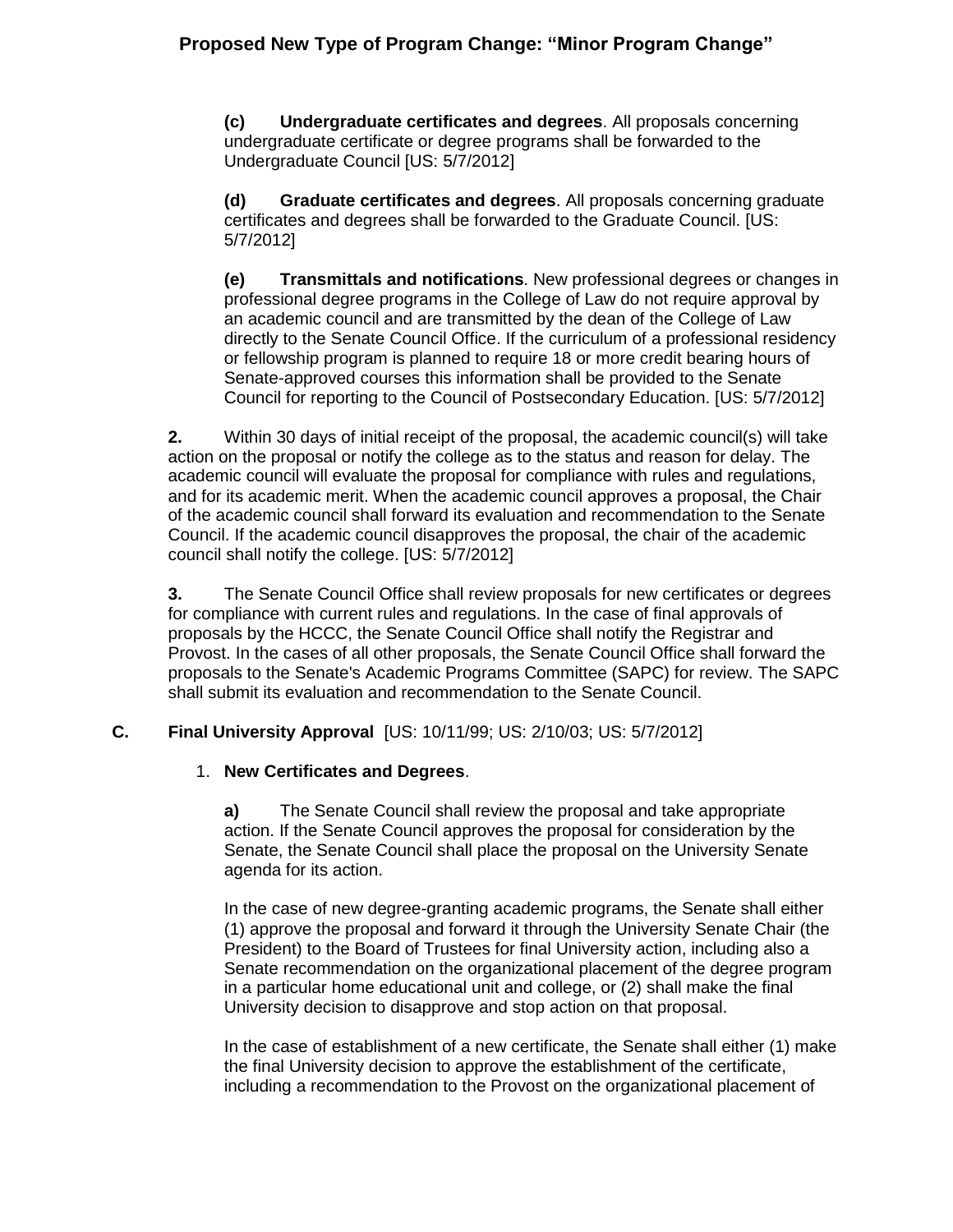**(c) Undergraduate certificates and degrees**. All proposals concerning undergraduate certificate or degree programs shall be forwarded to the Undergraduate Council [US: 5/7/2012]

**(d) Graduate certificates and degrees**. All proposals concerning graduate certificates and degrees shall be forwarded to the Graduate Council. [US: 5/7/2012]

**(e) Transmittals and notifications**. New professional degrees or changes in professional degree programs in the College of Law do not require approval by an academic council and are transmitted by the dean of the College of Law directly to the Senate Council Office. If the curriculum of a professional residency or fellowship program is planned to require 18 or more credit bearing hours of Senate-approved courses this information shall be provided to the Senate Council for reporting to the Council of Postsecondary Education. [US: 5/7/2012]

**2.** Within 30 days of initial receipt of the proposal, the academic council(s) will take action on the proposal or notify the college as to the status and reason for delay. The academic council will evaluate the proposal for compliance with rules and regulations, and for its academic merit. When the academic council approves a proposal, the Chair of the academic council shall forward its evaluation and recommendation to the Senate Council. If the academic council disapproves the proposal, the chair of the academic council shall notify the college. [US: 5/7/2012]

**3.** The Senate Council Office shall review proposals for new certificates or degrees for compliance with current rules and regulations. In the case of final approvals of proposals by the HCCC, the Senate Council Office shall notify the Registrar and Provost. In the cases of all other proposals, the Senate Council Office shall forward the proposals to the Senate's Academic Programs Committee (SAPC) for review. The SAPC shall submit its evaluation and recommendation to the Senate Council.

## **C. Final University Approval** [US: 10/11/99; US: 2/10/03; US: 5/7/2012]

## 1. **New Certificates and Degrees**.

**a)** The Senate Council shall review the proposal and take appropriate action. If the Senate Council approves the proposal for consideration by the Senate, the Senate Council shall place the proposal on the University Senate agenda for its action.

In the case of new degree-granting academic programs, the Senate shall either (1) approve the proposal and forward it through the University Senate Chair (the President) to the Board of Trustees for final University action, including also a Senate recommendation on the organizational placement of the degree program in a particular home educational unit and college, or (2) shall make the final University decision to disapprove and stop action on that proposal.

In the case of establishment of a new certificate, the Senate shall either (1) make the final University decision to approve the establishment of the certificate, including a recommendation to the Provost on the organizational placement of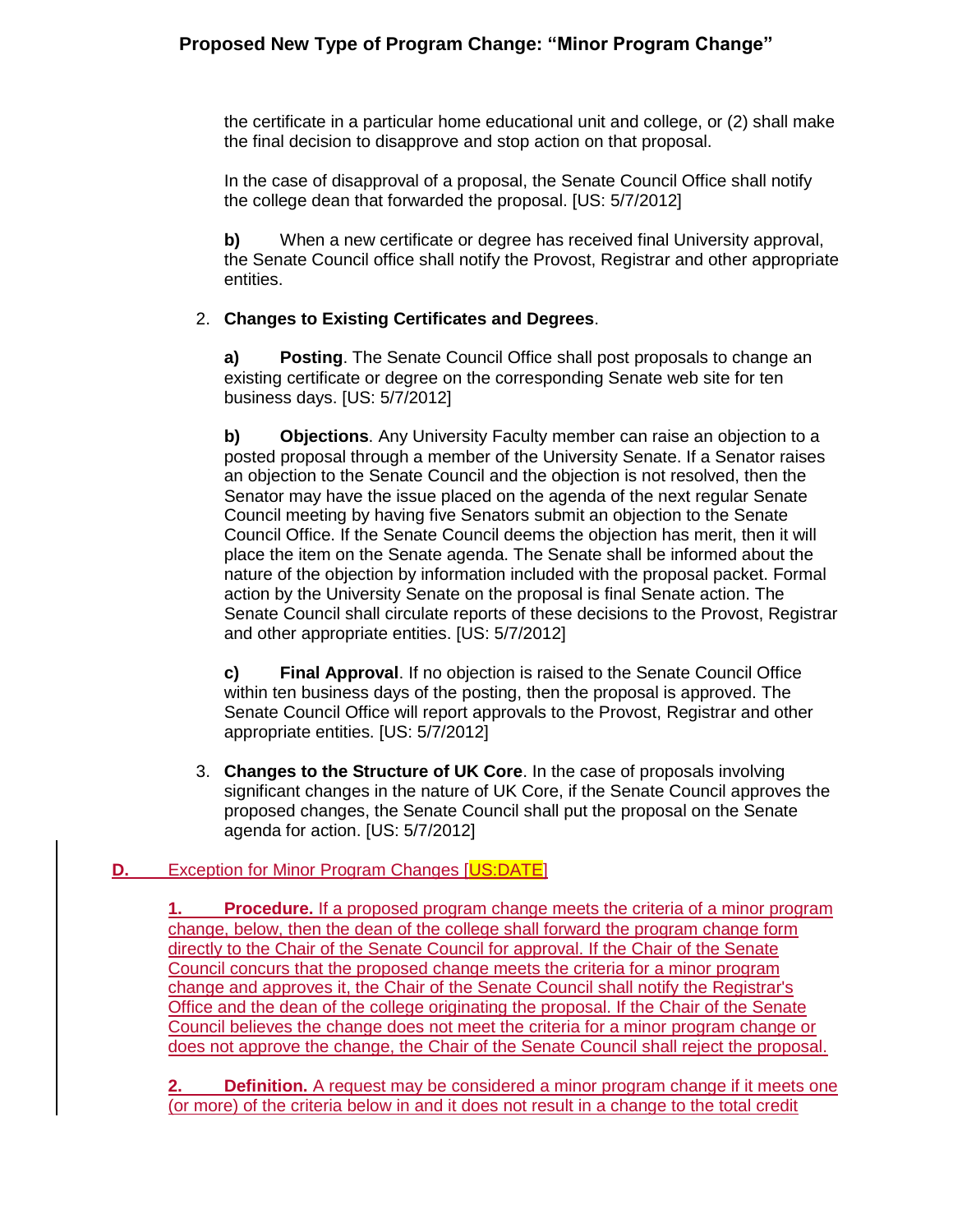# **Proposed New Type of Program Change: "Minor Program Change"**

the certificate in a particular home educational unit and college, or (2) shall make the final decision to disapprove and stop action on that proposal.

In the case of disapproval of a proposal, the Senate Council Office shall notify the college dean that forwarded the proposal. [US: 5/7/2012]

**b)** When a new certificate or degree has received final University approval, the Senate Council office shall notify the Provost, Registrar and other appropriate entities.

## 2. **Changes to Existing Certificates and Degrees**.

**a) Posting**. The Senate Council Office shall post proposals to change an existing certificate or degree on the corresponding Senate web site for ten business days. [US: 5/7/2012]

**b) Objections**. Any University Faculty member can raise an objection to a posted proposal through a member of the University Senate. If a Senator raises an objection to the Senate Council and the objection is not resolved, then the Senator may have the issue placed on the agenda of the next regular Senate Council meeting by having five Senators submit an objection to the Senate Council Office. If the Senate Council deems the objection has merit, then it will place the item on the Senate agenda. The Senate shall be informed about the nature of the objection by information included with the proposal packet. Formal action by the University Senate on the proposal is final Senate action. The Senate Council shall circulate reports of these decisions to the Provost, Registrar and other appropriate entities. [US: 5/7/2012]

**c) Final Approval**. If no objection is raised to the Senate Council Office within ten business days of the posting, then the proposal is approved. The Senate Council Office will report approvals to the Provost, Registrar and other appropriate entities. [US: 5/7/2012]

3. **Changes to the Structure of UK Core**. In the case of proposals involving significant changes in the nature of UK Core, if the Senate Council approves the proposed changes, the Senate Council shall put the proposal on the Senate agenda for action. [US: 5/7/2012]

## **D.** Exception for Minor Program Changes [US:DATE]

**1. Procedure.** If a proposed program change meets the criteria of a minor program change, below, then the dean of the college shall forward the program change form directly to the Chair of the Senate Council for approval. If the Chair of the Senate Council concurs that the proposed change meets the criteria for a minor program change and approves it, the Chair of the Senate Council shall notify the Registrar's Office and the dean of the college originating the proposal. If the Chair of the Senate Council believes the change does not meet the criteria for a minor program change or does not approve the change, the Chair of the Senate Council shall reject the proposal.

**Definition.** A request may be considered a minor program change if it meets one (or more) of the criteria below in and it does not result in a change to the total credit